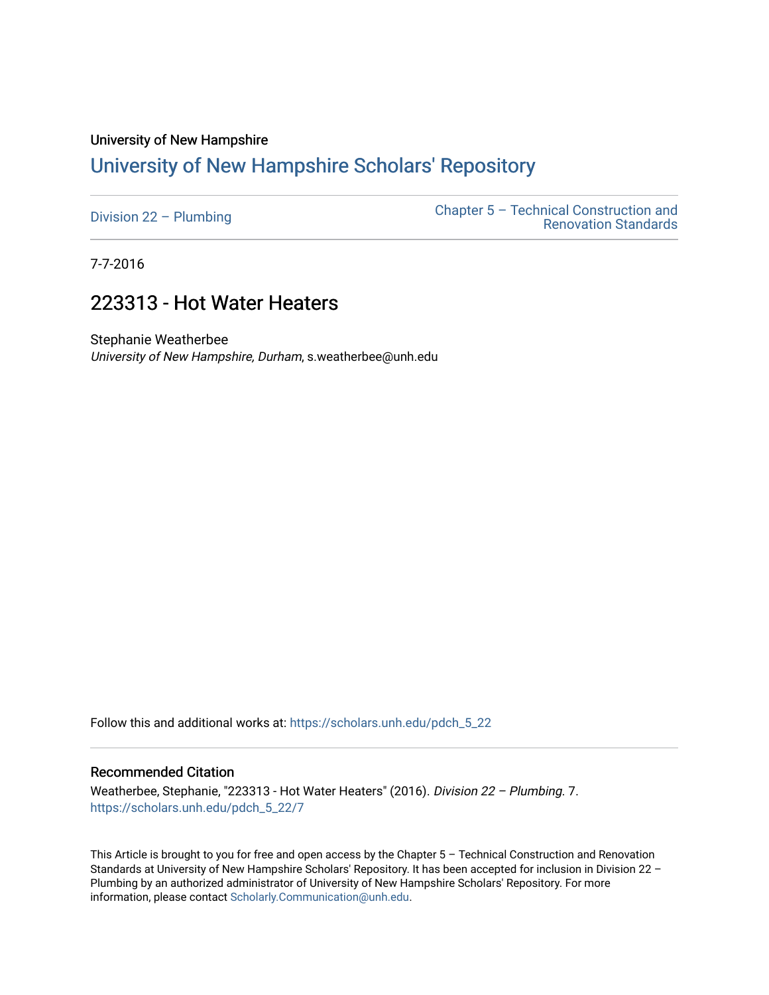# University of New Hampshire [University of New Hampshire Scholars' Repository](https://scholars.unh.edu/)

| Division $22 -$ Plumbing | Chapter $5$ – Technical Construction and<br><b>Renovation Standards</b> |
|--------------------------|-------------------------------------------------------------------------|
|                          |                                                                         |

7-7-2016

# 223313 - Hot Water Heaters

Stephanie Weatherbee University of New Hampshire, Durham, s.weatherbee@unh.edu

Follow this and additional works at: [https://scholars.unh.edu/pdch\\_5\\_22](https://scholars.unh.edu/pdch_5_22?utm_source=scholars.unh.edu%2Fpdch_5_22%2F7&utm_medium=PDF&utm_campaign=PDFCoverPages) 

#### Recommended Citation

Weatherbee, Stephanie, "223313 - Hot Water Heaters" (2016). Division 22 – Plumbing. 7. [https://scholars.unh.edu/pdch\\_5\\_22/7](https://scholars.unh.edu/pdch_5_22/7?utm_source=scholars.unh.edu%2Fpdch_5_22%2F7&utm_medium=PDF&utm_campaign=PDFCoverPages)

This Article is brought to you for free and open access by the Chapter 5 – Technical Construction and Renovation Standards at University of New Hampshire Scholars' Repository. It has been accepted for inclusion in Division 22 – Plumbing by an authorized administrator of University of New Hampshire Scholars' Repository. For more information, please contact [Scholarly.Communication@unh.edu.](mailto:Scholarly.Communication@unh.edu)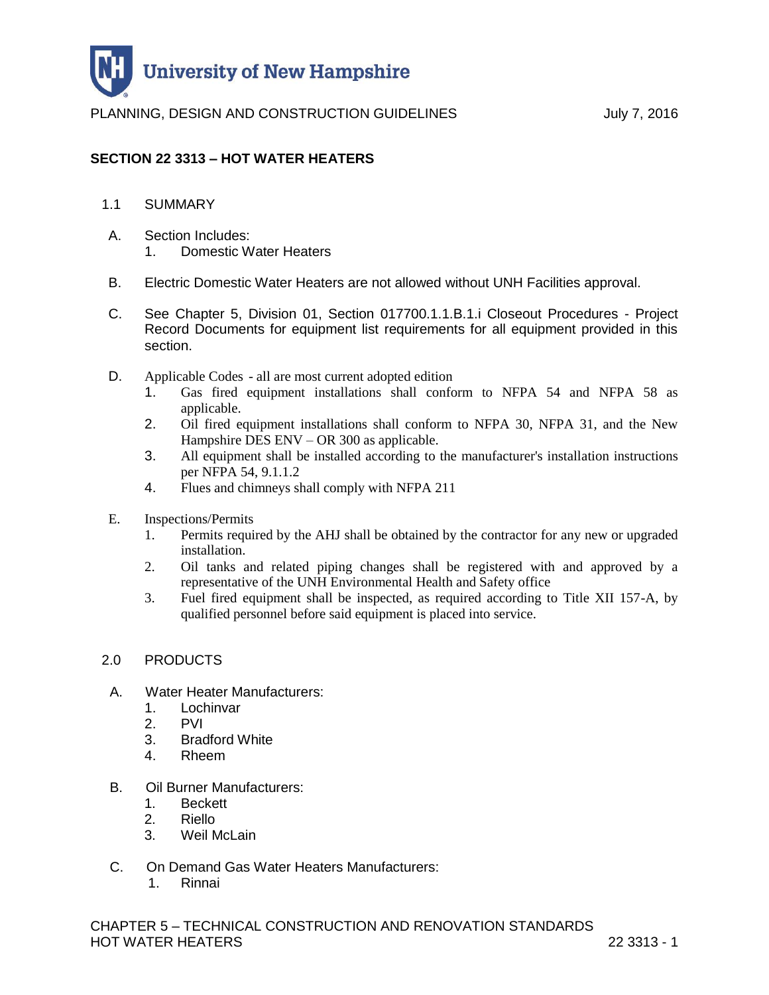

## **SECTION 22 3313 – HOT WATER HEATERS**

- 1.1 SUMMARY
- A. Section Includes: 1. Domestic Water Heaters
- B. Electric Domestic Water Heaters are not allowed without UNH Facilities approval.
- C. See Chapter 5, Division 01, Section 017700.1.1.B.1.i Closeout Procedures Project Record Documents for equipment list requirements for all equipment provided in this section.
- D. Applicable Codes all are most current adopted edition
	- 1. Gas fired equipment installations shall conform to NFPA 54 and NFPA 58 as applicable.
	- 2. Oil fired equipment installations shall conform to NFPA 30, NFPA 31, and the New Hampshire DES ENV – OR 300 as applicable.
	- 3. All equipment shall be installed according to the manufacturer's installation instructions per NFPA 54, 9.1.1.2
	- 4. Flues and chimneys shall comply with NFPA 211
- E. Inspections/Permits
	- 1. Permits required by the AHJ shall be obtained by the contractor for any new or upgraded installation.
	- 2. Oil tanks and related piping changes shall be registered with and approved by a representative of the UNH Environmental Health and Safety office
	- 3. Fuel fired equipment shall be inspected, as required according to Title XII 157-A, by qualified personnel before said equipment is placed into service.

### 2.0 PRODUCTS

- A. Water Heater Manufacturers:
	- 1. Lochinvar
	- 2. PVI
	- 3. Bradford White
	- 4. Rheem
- B. Oil Burner Manufacturers:
	- 1. Beckett
	- 2. Riello
	- 3. Weil McLain
- C. On Demand Gas Water Heaters Manufacturers:
	- 1. Rinnai